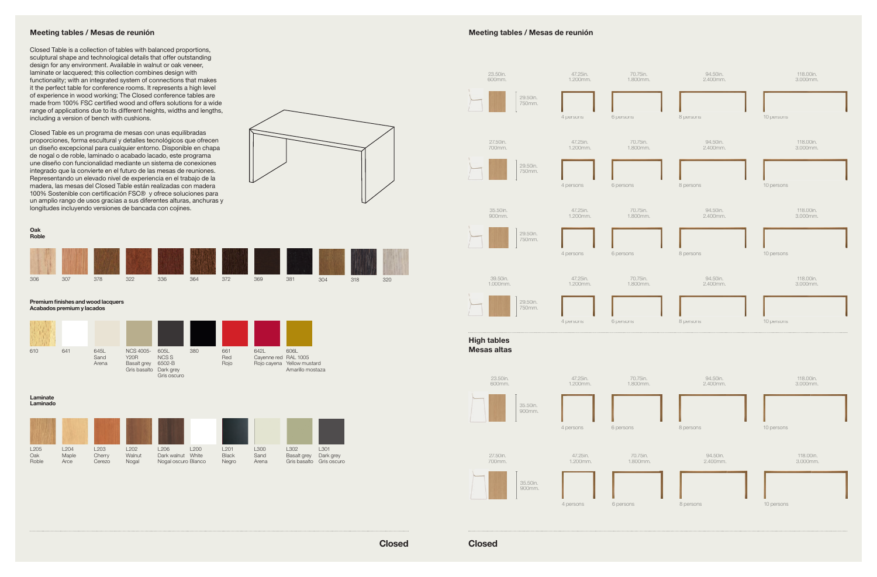Closed

Closed Table is a collection of tables with balanced proportions, sculptural shape and technological details that offer outstanding design for any environment. Available in walnut or oak veneer, laminate or lacquered; this collection combines design with functionality; with an integrated system of connections that makes it the perfect table for conference rooms. It represents a high level of experience in wood working; The Closed conference tables are made from 100% FSC certified wood and offers solutions for a wide range of applications due to its different heights, widths and lengths, including a version of bench with cushions.

Closed Table es un programa de mesas con unas equilibradas proporciones, forma escultural y detalles tecnológicos que ofrecen un diseño excepcional para cualquier entorno. Disponible en chapa de nogal o de roble, laminado o acabado lacado, este programa une diseño con funcionalidad mediante un sistema de conexiones integrado que la convierte en el futuro de las mesas de reuniones. Representando un elevado nivel de experiencia en el trabajo de la madera, las mesas del Closed Table están realizadas con madera 100% Sostenible con certificación FSC® y ofrece soluciones para un amplio rango de usos gracias a sus diferentes alturas, anchuras y longitudes incluyendo versiones de bancada con cojines.

Closed

Meeting tables / Mesas de reunión





## Meeting tables / Mesas de reunión

Laminate Laminado



Oak Roble



Premium finishes and wood lacquers Acabados premium y lacados

642L

Cayenne red RAL 1005 Rojo cayena Yellow mustard 606L

Amarillo mostaza